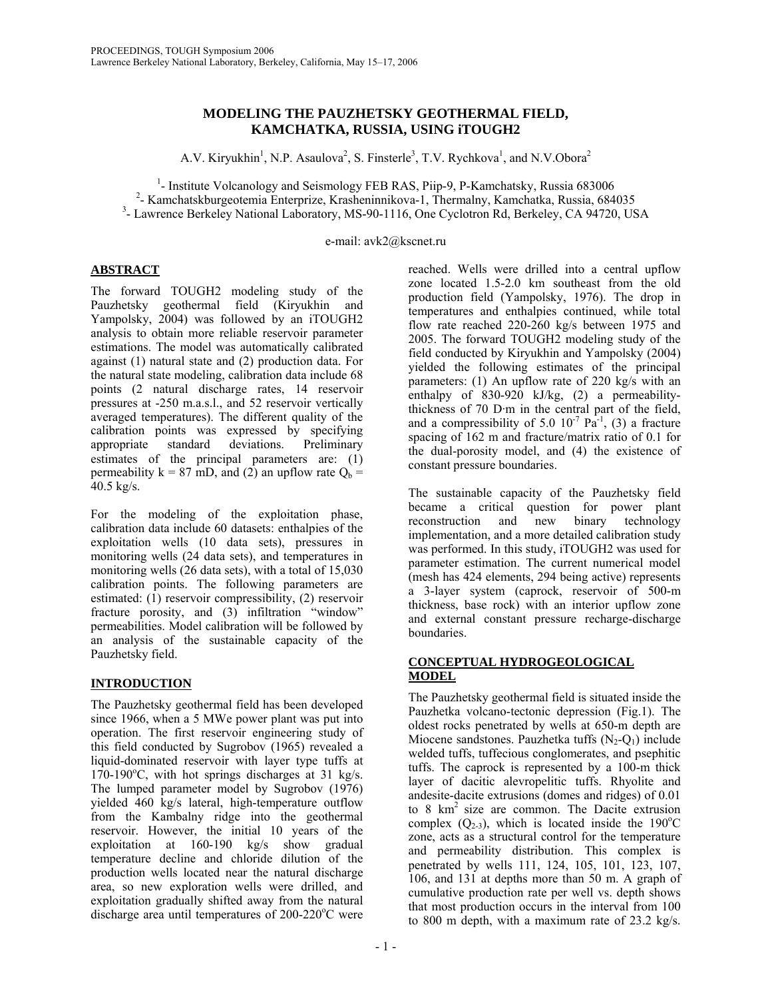## **MODELING THE PAUZHETSKY GEOTHERMAL FIELD, KAMCHATKA, RUSSIA, USING iTOUGH2**

A.V. Kiryukhin<sup>1</sup>, N.P. Asaulova<sup>2</sup>, S. Finsterle<sup>3</sup>, T.V. Rychkova<sup>1</sup>, and N.V.Obora<sup>2</sup>

<sup>1</sup>- Institute Volcanology and Seismology FEB RAS, Piip-9, P-Kamchatsky, Russia 683006<br><sup>2</sup> Kamakatsky reactoriis Enterprise Kraskopinaikaus 1. Thermalny Kamakatka Bussia 684

<sup>2</sup> Kamchatskburgeotemia Enterprize, Krasheninnikova-1, Thermalny, Kamchatka, Russia, 684035

<sup>3</sup>- Lawrence Berkeley National Laboratory, MS-90-1116, One Cyclotron Rd, Berkeley, CA 94720, USA

e-mail: avk2@kscnet.ru

## **ABSTRACT**

The forward TOUGH2 modeling study of the Pauzhetsky geothermal field (Kiryukhin and Yampolsky, 2004) was followed by an iTOUGH2 analysis to obtain more reliable reservoir parameter estimations. The model was automatically calibrated against (1) natural state and (2) production data. For the natural state modeling, calibration data include 68 points (2 natural discharge rates, 14 reservoir pressures at -250 m.a.s.l., and 52 reservoir vertically averaged temperatures). The different quality of the calibration points was expressed by specifying<br>appropriate standard deviations. Preliminary appropriate standard estimates of the principal parameters are: (1) permeability  $k = 87$  mD, and (2) an upflow rate  $Q_b$  = 40.5 kg/s.

For the modeling of the exploitation phase, calibration data include 60 datasets: enthalpies of the exploitation wells (10 data sets), pressures in monitoring wells (24 data sets), and temperatures in monitoring wells (26 data sets), with a total of 15,030 calibration points. The following parameters are estimated: (1) reservoir compressibility, (2) reservoir fracture porosity, and (3) infiltration "window" permeabilities. Model calibration will be followed by an analysis of the sustainable capacity of the Pauzhetsky field.

# **INTRODUCTION**

The Pauzhetsky geothermal field has been developed since 1966, when a 5 MWe power plant was put into operation. The first reservoir engineering study of this field conducted by Sugrobov (1965) revealed a liquid-dominated reservoir with layer type tuffs at  $170-190^{\circ}$ C, with hot springs discharges at 31 kg/s. The lumped parameter model by Sugrobov (1976) yielded 460 kg/s lateral, high-temperature outflow from the Kambalny ridge into the geothermal reservoir. However, the initial 10 years of the exploitation at 160-190 kg/s show gradual temperature decline and chloride dilution of the production wells located near the natural discharge area, so new exploration wells were drilled, and exploitation gradually shifted away from the natural discharge area until temperatures of  $200-220^{\circ}$ C were

reached. Wells were drilled into a central upflow zone located 1.5-2.0 km southeast from the old production field (Yampolsky, 1976). The drop in temperatures and enthalpies continued, while total flow rate reached 220-260 kg/s between 1975 and 2005. The forward TOUGH2 modeling study of the field conducted by Kiryukhin and Yampolsky (2004) yielded the following estimates of the principal parameters: (1) An upflow rate of 220 kg/s with an enthalpy of 830-920 kJ/kg, (2) a permeabilitythickness of 70 D·m in the central part of the field, and a compressibility of 5.0  $10^{-7}$  Pa<sup>-1</sup>, (3) a fracture spacing of 162 m and fracture/matrix ratio of 0.1 for the dual-porosity model, and (4) the existence of constant pressure boundaries.

The sustainable capacity of the Pauzhetsky field became a critical question for power plant reconstruction and new binary technology implementation, and a more detailed calibration study was performed. In this study, iTOUGH2 was used for parameter estimation. The current numerical model (mesh has 424 elements, 294 being active) represents a 3-layer system (caprock, reservoir of 500-m thickness, base rock) with an interior upflow zone and external constant pressure recharge-discharge boundaries.

## **CONCEPTUAL HYDROGEOLOGICAL MODEL**

The Pauzhetsky geothermal field is situated inside the Pauzhetka volcano-tectonic depression (Fig.1). The oldest rocks penetrated by wells at 650-m depth are Miocene sandstones. Pauzhetka tuffs  $(N_2-Q_1)$  include welded tuffs, tuffecious conglomerates, and psephitic tuffs. The caprock is represented by a 100-m thick layer of dacitic alevropelitic tuffs. Rhyolite and andesite-dacite extrusions (domes and ridges) of 0.01 to 8  $km^2$  size are common. The Dacite extrusion complex  $(Q_{2-3})$ , which is located inside the 190°C zone, acts as a structural control for the temperature and permeability distribution. This complex is penetrated by wells 111, 124, 105, 101, 123, 107, 106, and 131 at depths more than 50 m. A graph of cumulative production rate per well vs. depth shows that most production occurs in the interval from 100 to 800 m depth, with a maximum rate of 23.2 kg/s.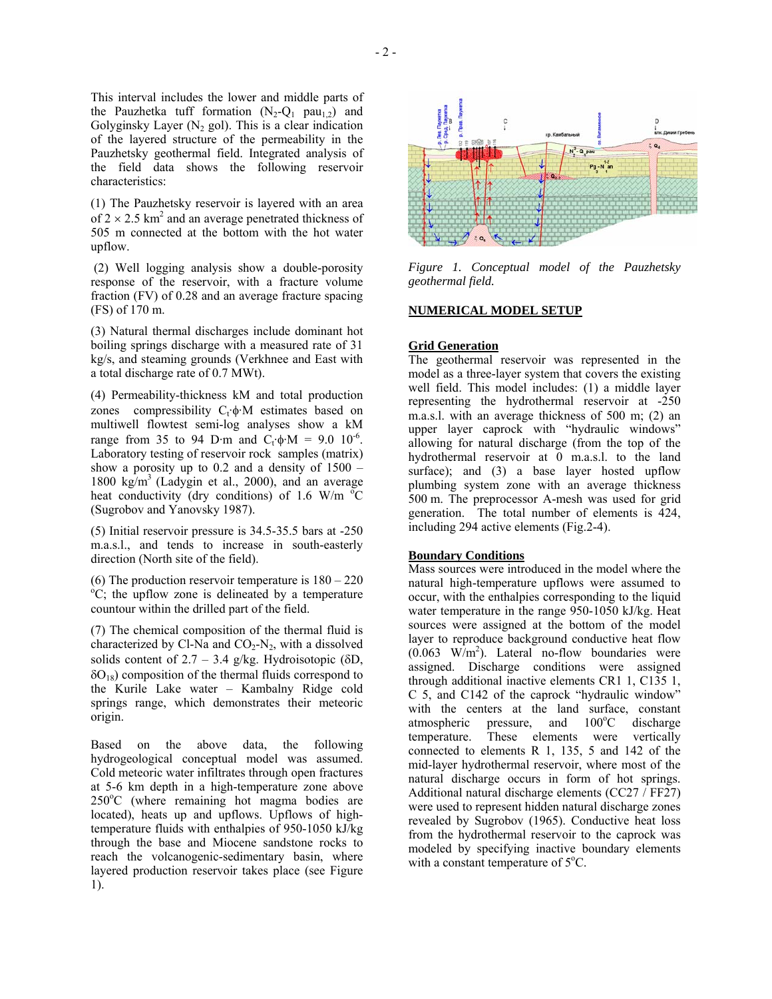This interval includes the lower and middle parts of the Pauzhetka tuff formation  $(N_2-Q_1 \text{ pau}_1)$  and Golyginsky Layer  $(N_2 \text{ gol})$ . This is a clear indication of the layered structure of the permeability in the Pauzhetsky geothermal field. Integrated analysis of the field data shows the following reservoir characteristics:

(1) The Pauzhetsky reservoir is layered with an area of  $2 \times 2.5$  km<sup>2</sup> and an average penetrated thickness of 505 m connected at the bottom with the hot water upflow.

(2) Well logging analysis show a double-porosity response of the reservoir, with a fracture volume fraction (FV) of 0.28 and an average fracture spacing (FS) of 170 m.

(3) Natural thermal discharges include dominant hot boiling springs discharge with a measured rate of 31 kg/s, and steaming grounds (Verkhnee and East with a total discharge rate of 0.7 MWt).

(4) Permeability-thickness kM and total production zones compressibility  $C_t \phi M$  estimates based on multiwell flowtest semi-log analyses show a kM range from 35 to 94 D·m and  $C_t \cdot \phi \cdot M = 9.0 \cdot 10^{-6}$ . Laboratory testing of reservoir rock samples (matrix) show a porosity up to  $0.2$  and a density of  $1500 -$ 1800 kg/m<sup>3</sup> (Ladygin et al., 2000), and an average heat conductivity (dry conditions) of 1.6 W/m  $\rm{^{\circ}C}$ (Sugrobov and Yanovsky 1987).

(5) Initial reservoir pressure is 34.5-35.5 bars at -250 m.a.s.l., and tends to increase in south-easterly direction (North site of the field).

(6) The production reservoir temperature is  $180 - 220$ <sup>o</sup>C; the upflow zone is delineated by a temperature countour within the drilled part of the field.

(7) The chemical composition of the thermal fluid is characterized by Cl-Na and  $CO<sub>2</sub>-N<sub>2</sub>$ , with a dissolved solids content of  $2.7 - 3.4$  g/kg. Hydroisotopic ( $\delta D$ ,  $\delta O_{18}$ ) composition of the thermal fluids correspond to the Kurile Lake water – Kambalny Ridge cold springs range, which demonstrates their meteoric origin.

Based on the above data, the following hydrogeological conceptual model was assumed. Cold meteoric water infiltrates through open fractures at 5-6 km depth in a high-temperature zone above 250<sup>о</sup> С (where remaining hot magma bodies are located), heats up and upflows. Upflows of hightemperature fluids with enthalpies of 950-1050 kJ/kg through the base and Miocene sandstone rocks to reach the volcanogenic-sedimentary basin, where layered production reservoir takes place (see Figure 1).



*Figure 1. Conceptual model of the Pauzhetsky geothermal field.* 

### **NUMERICAL MODEL SETUP**

#### **Grid Generation**

The geothermal reservoir was represented in the model as a three-layer system that covers the existing well field. This model includes: (1) a middle layer representing the hydrothermal reservoir at -250 m.a.s.l. with an average thickness of 500 m; (2) an upper layer caprock with "hydraulic windows" allowing for natural discharge (from the top of the hydrothermal reservoir at 0 m.a.s.l. to the land surface); and (3) a base layer hosted upflow plumbing system zone with an average thickness 500 m. The preprocessor A-mesh was used for grid generation. The total number of elements is 424, including 294 active elements (Fig.2-4).

#### **Boundary Conditions**

Mass sources were introduced in the model where the natural high-temperature upflows were assumed to occur, with the enthalpies corresponding to the liquid water temperature in the range 950-1050 kJ/kg. Heat sources were assigned at the bottom of the model layer to reproduce background conductive heat flow  $(0.063 \text{ W/m}^2)$ . Lateral no-flow boundaries were assigned. Discharge conditions were assigned through additional inactive elements CR1 1, C135 1, C 5, and C142 of the caprock "hydraulic window" with the centers at the land surface, constant atmospheric pressure, and  $100^{\circ}$ C discharge temperature. These elements were vertically connected to elements R 1, 135, 5 and 142 of the mid-layer hydrothermal reservoir, where most of the natural discharge occurs in form of hot springs. Additional natural discharge elements (CC27 / FF27) were used to represent hidden natural discharge zones revealed by Sugrobov (1965). Conductive heat loss from the hydrothermal reservoir to the caprock was modeled by specifying inactive boundary elements with a constant temperature of 5°C.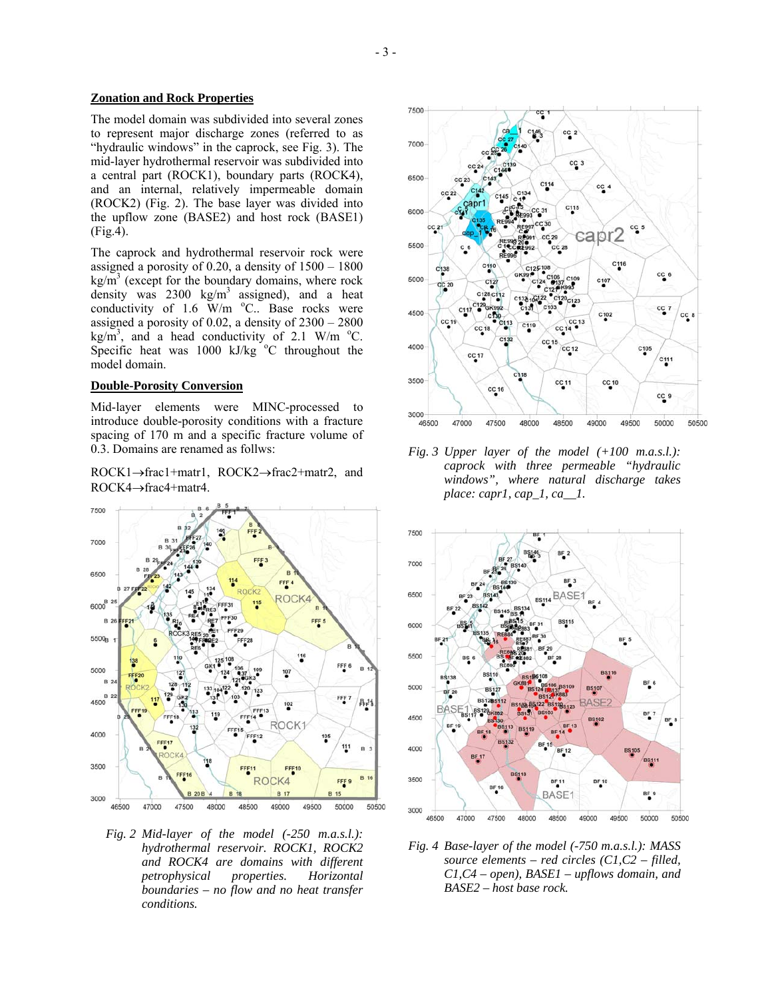## **Zonation and Rock Properties**

The model domain was subdivided into several zones to represent major discharge zones (referred to as "hydraulic windows" in the caprock, see Fig. 3). The mid-layer hydrothermal reservoir was subdivided into a central part (ROCK1), boundary parts (ROCK4), and an internal, relatively impermeable domain (ROCK2) (Fig. 2). The base layer was divided into the upflow zone (BASE2) and host rock (BASE1) (Fig.4).

The caprock and hydrothermal reservoir rock were assigned a porosity of 0.20, a density of 1500 – 1800  $\text{kg/m}^3$  (except for the boundary domains, where rock density was  $2300 \text{ kg/m}^3$  assigned), and a heat conductivity of 1.6  $W/m$  °C.. Base rocks were assigned a porosity of 0.02, a density of 2300 – 2800 kg/m<sup>3</sup>, and a head conductivity of 2.1 W/m  $^{\circ}$ C. Specific heat was  $1000 \text{ kJ/kg}$  °C throughout the model domain.

#### **Double-Porosity Conversion**

Mid-layer elements were MINC-processed to introduce double-porosity conditions with a fracture spacing of 170 m and a specific fracture volume of 0.3. Domains are renamed as follws:

ROCK1→frac1+matr1, ROCK2→frac2+matr2, and ROCK4→frac4+matr4.



 *Fig. 2 Mid-layer of the model (-250 m.a.s.l.): hydrothermal reservoir. ROCK1, ROCK2 and ROCK4 are domains with different petrophysical properties. Horizontal boundaries – no flow and no heat transfer conditions.* 



*Fig. 3 Upper layer of the model (+100 m.a.s.l.): caprock with three permeable "hydraulic windows", where natural discharge takes place: capr1, cap\_1, ca\_\_1.* 



*Fig. 4 Base-layer of the model (-750 m.a.s.l.): MASS source elements – red circles (C1,C2 – filled, C1,C4 – open), BASE1 – upflows domain, and BASE2 – host base rock.*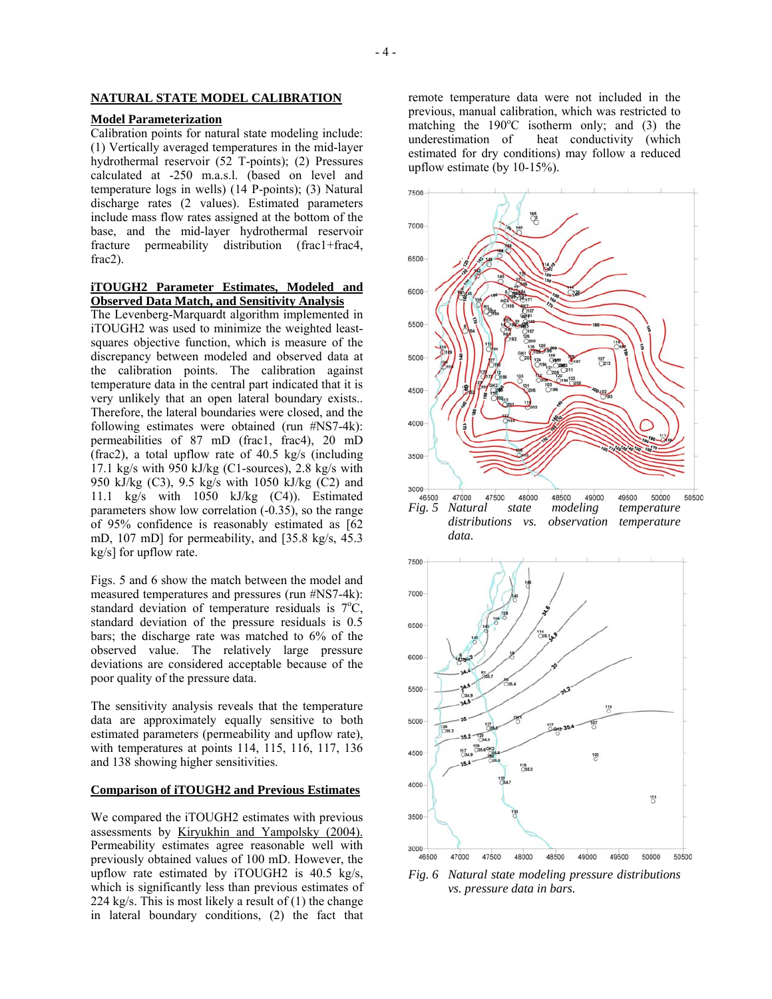## **NATURAL STATE MODEL CALIBRATION**

#### **Model Parameterization**

Calibration points for natural state modeling include: (1) Vertically averaged temperatures in the mid-layer hydrothermal reservoir (52 T-points); (2) Pressures calculated at -250 m.a.s.l. (based on level and temperature logs in wells) (14 P-points); (3) Natural discharge rates (2 values). Estimated parameters include mass flow rates assigned at the bottom of the base, and the mid-layer hydrothermal reservoir fracture permeability distribution (frac1+frac4, frac2).

#### **iTOUGH2 Parameter Estimates, Modeled and Observed Data Match, and Sensitivity Analysis**

The Levenberg-Marquardt algorithm implemented in iTOUGH2 was used to minimize the weighted leastsquares objective function, which is measure of the discrepancy between modeled and observed data at the calibration points. The calibration against temperature data in the central part indicated that it is very unlikely that an open lateral boundary exists.. Therefore, the lateral boundaries were closed, and the following estimates were obtained (run #NS7-4k): permeabilities of 87 mD (frac1, frac4), 20 mD (frac2), a total upflow rate of 40.5 kg/s (including 17.1 kg/s with 950 kJ/kg (C1-sources), 2.8 kg/s with 950 kJ/kg (C3), 9.5 kg/s with 1050 kJ/kg (C2) and 11.1 kg/s with 1050 kJ/kg (C4)). Estimated parameters show low correlation (-0.35), so the range of 95% confidence is reasonably estimated as [62 mD, 107 mD] for permeability, and [35.8 kg/s, 45.3 kg/s] for upflow rate.

Figs. 5 and 6 show the match between the model and measured temperatures and pressures (run #NS7-4k): standard deviation of temperature residuals is  $7^{\circ}C$ , standard deviation of the pressure residuals is 0.5 bars; the discharge rate was matched to 6% of the observed value. The relatively large pressure deviations are considered acceptable because of the poor quality of the pressure data.

The sensitivity analysis reveals that the temperature data are approximately equally sensitive to both estimated parameters (permeability and upflow rate), with temperatures at points 114, 115, 116, 117, 136 and 138 showing higher sensitivities.

#### **Comparison of iTOUGH2 and Previous Estimates**

We compared the iTOUGH2 estimates with previous assessments by Kiryukhin and Yampolsky (2004). Permeability estimates agree reasonable well with previously obtained values of 100 mD. However, the upflow rate estimated by iTOUGH2 is 40.5 kg/s, which is significantly less than previous estimates of 224 kg/s. This is most likely a result of  $(1)$  the change in lateral boundary conditions, (2) the fact that

remote temperature data were not included in the previous, manual calibration, which was restricted to matching the  $190^{\circ}$ C isotherm only; and (3) the underestimation of heat conductivity (which estimated for dry conditions) may follow a reduced upflow estimate (by 10-15%).





*Fig. 6 Natural state modeling pressure distributions vs. pressure data in bars.*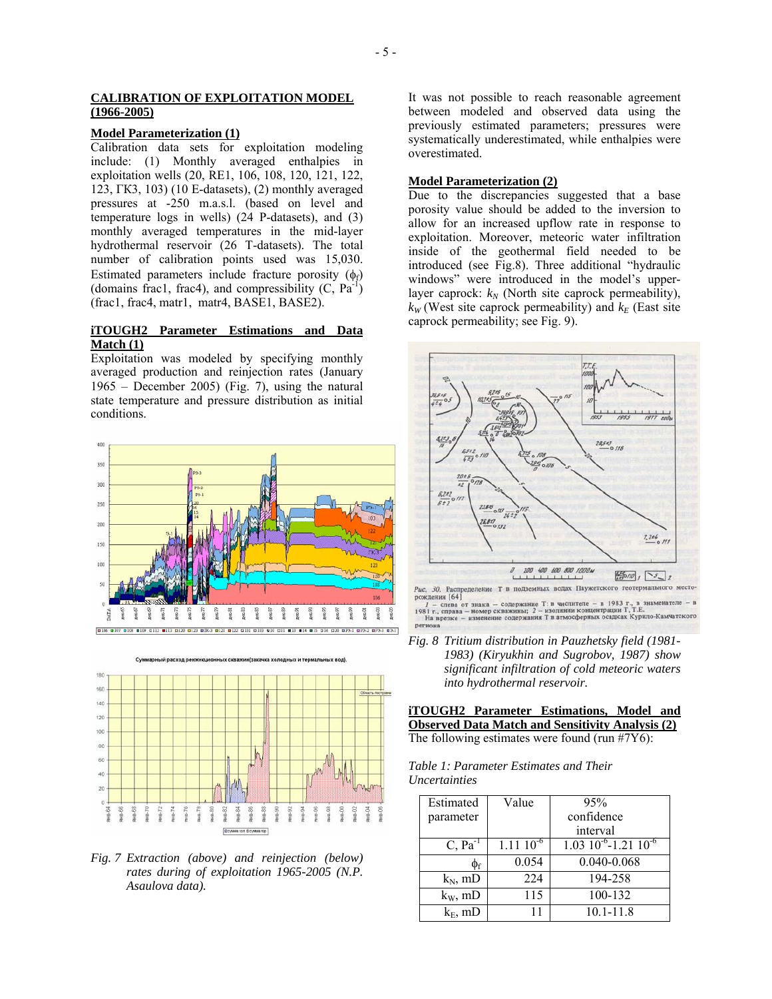### **CALIBRATION OF EXPLOITATION MODEL (1966-2005)**

## **Model Parameterization (1)**

Calibration data sets for exploitation modeling include: (1) Monthly averaged enthalpies in exploitation wells (20, RE1, 106, 108, 120, 121, 122, 123, ГК3, 103) (10 E-datasets), (2) monthly averaged pressures at -250 m.a.s.l. (based on level and temperature logs in wells) (24 P-datasets), and (3) monthly averaged temperatures in the mid-layer hydrothermal reservoir (26 T-datasets). The total number of calibration points used was 15,030. Estimated parameters include fracture porosity  $(\phi_f)$ (domains frac1, frac4), and compressibility  $(C, Pa^{-1})$ (frac1, frac4, matr1, matr4, BASE1, BASE2).

## **iTOUGH2 Parameter Estimations and Data Match (1)**

Exploitation was modeled by specifying monthly averaged production and reinjection rates (January 1965 – December 2005) (Fig. 7), using the natural state temperature and pressure distribution as initial conditions.





*Fig. 7 Extraction (above) and reinjection (below) rates during of exploitation 1965-2005 (N.P. Asaulova data).* 

It was not possible to reach reasonable agreement between modeled and observed data using the previously estimated parameters; pressures were systematically underestimated, while enthalpies were overestimated.

## **Model Parameterization (2)**

Due to the discrepancies suggested that a base porosity value should be added to the inversion to allow for an increased upflow rate in response to exploitation. Moreover, meteoric water infiltration inside of the geothermal field needed to be introduced (see Fig.8). Three additional "hydraulic windows" were introduced in the model's upperlayer caprock:  $k_N$  (North site caprock permeability),  $k_W$  (West site caprock permeability) and  $k_F$  (East site caprock permeability; see Fig. 9).



рождения [64] рождения [04]<br>
1 - спева от знака - содержание Т: в числителе - в 1983 г., в знаменателе - в<br>
1981 г., справа - номер скважник; 2 - изолнини концентрации Т, Т.Е.<br>
На врезке - изменение содержания Т в атмосферных осадках регион

*Fig. 8 Tritium distribution in Pauzhetsky field (1981- 1983) (Kiryukhin and Sugrobov, 1987) show significant infiltration of cold meteoric waters into hydrothermal reservoir.*

**iTOUGH2 Parameter Estimations, Model and Observed Data Match and Sensitivity Analysis (2)** The following estimates were found (run #7Y6):

*Table 1: Parameter Estimates and Their Uncertainties* 

| Estimated           | Value           | 95%                                   |
|---------------------|-----------------|---------------------------------------|
| parameter           |                 | confidence                            |
|                     |                 | interval                              |
| $C, Pa^{-1}$        | $1.11\ 10^{-6}$ | $1.03 \times 10^{-6}$ -1.21 $10^{-6}$ |
| $\Phi$ <sub>f</sub> | 0.054           | 0.040-0.068                           |
| $k_N$ , mD          | 224             | 194-258                               |
| $k_{W}$ , mD        | 115             | 100-132                               |
| $k_F$ , mD          |                 | $10.1 - 11.8$                         |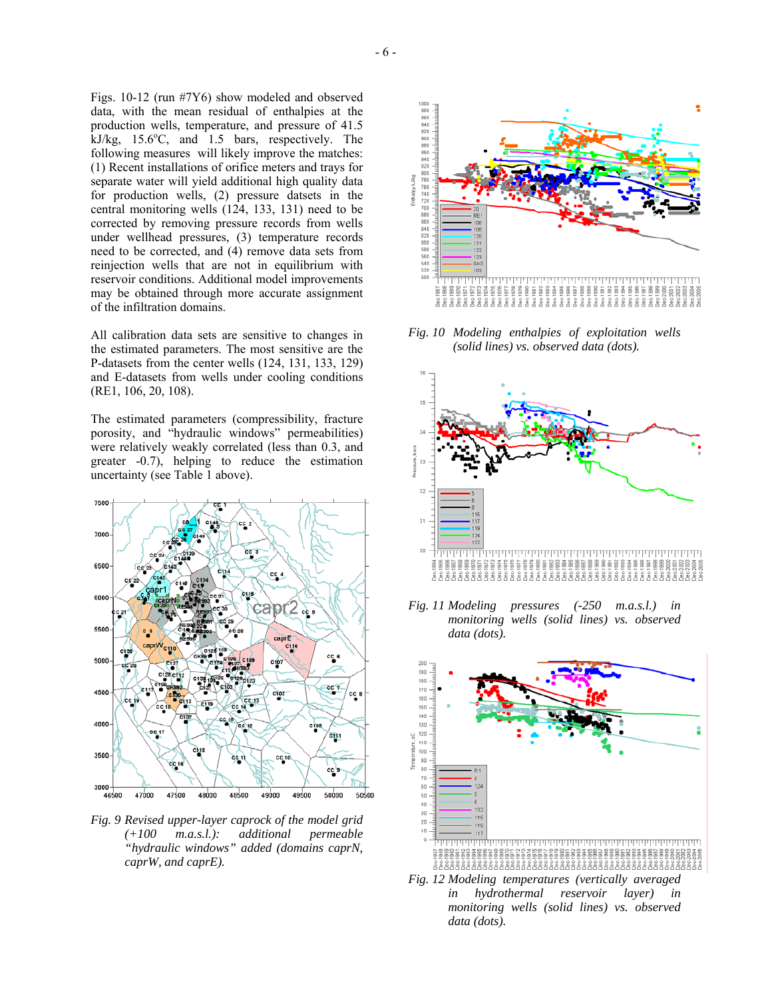Figs. 10-12 (run #7Y6) show modeled and observed data, with the mean residual of enthalpies at the production wells, temperature, and pressure of 41.5  $kJ/kg$ , 15.6°C, and 1.5 bars, respectively. The following measures will likely improve the matches: (1) Recent installations of orifice meters and trays for separate water will yield additional high quality data for production wells, (2) pressure datsets in the central monitoring wells (124, 133, 131) need to be corrected by removing pressure records from wells under wellhead pressures, (3) temperature records need to be corrected, and (4) remove data sets from reinjection wells that are not in equilibrium with reservoir conditions. Additional model improvements may be obtained through more accurate assignment of the infiltration domains.

All calibration data sets are sensitive to changes in the estimated parameters. The most sensitive are the P-datasets from the center wells (124, 131, 133, 129) and E-datasets from wells under cooling conditions (RE1, 106, 20, 108).

The estimated parameters (compressibility, fracture porosity, and "hydraulic windows" permeabilities) were relatively weakly correlated (less than 0.3, and greater -0.7), helping to reduce the estimation uncertainty (see Table 1 above).



*Fig. 9 Revised upper-layer caprock of the model grid (+100 m.a.s.l.): additional permeable "hydraulic windows" added (domains caprN, caprW, and caprE).* 



*Fig. 10 Modeling enthalpies of exploitation wells (solid lines) vs. observed data (dots).* 



*Fig. 11 Modeling pressures (-250 m.a.s.l.) in monitoring wells (solid lines) vs. observed data (dots).* 



*Fig. 12 Modeling temperatures (vertically averaged in hydrothermal reservoir layer) in monitoring wells (solid lines) vs. observed data (dots).*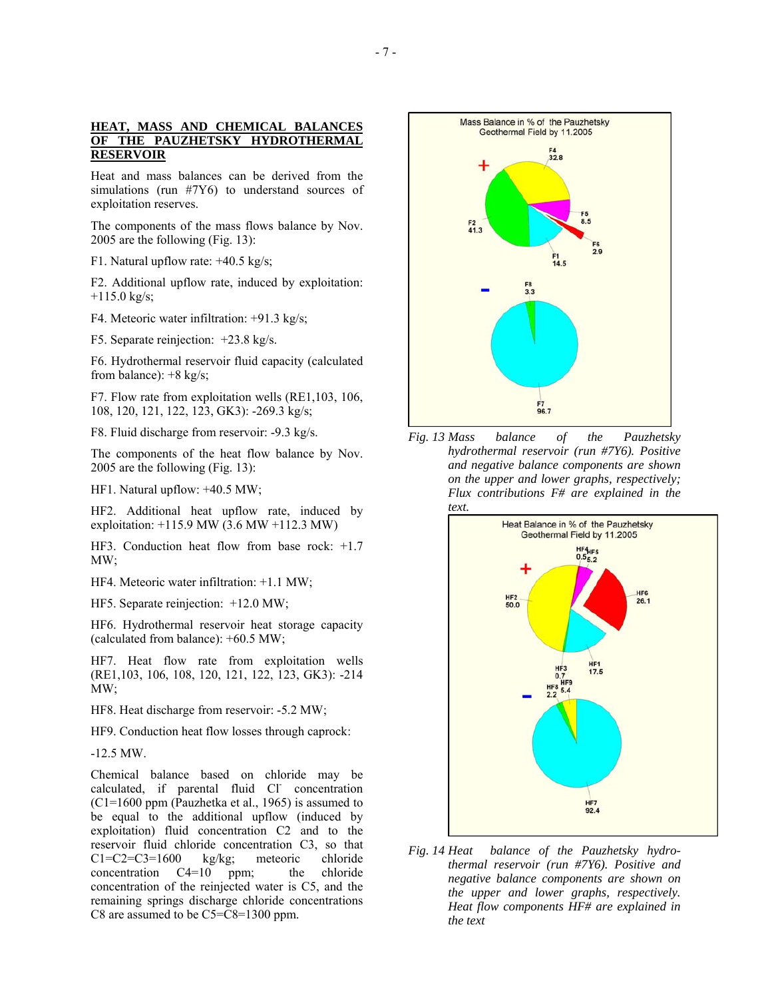### **HEAT, MASS AND CHEMICAL BALANCES OF THE PAUZHETSKY HYDROTHERMAL RESERVOIR**

Heat and mass balances can be derived from the simulations (run #7Y6) to understand sources of exploitation reserves.

The components of the mass flows balance by Nov. 2005 are the following (Fig. 13):

F1. Natural upflow rate: +40.5 kg/s;

F2. Additional upflow rate, induced by exploitation:  $+115.0$  kg/s;

F4. Meteoric water infiltration: +91.3 kg/s;

F5. Separate reinjection: +23.8 kg/s.

F6. Hydrothermal reservoir fluid capacity (calculated from balance): +8 kg/s;

F7. Flow rate from exploitation wells (RE1,103, 106, 108, 120, 121, 122, 123, GK3): -269.3 kg/s;

F8. Fluid discharge from reservoir: -9.3 kg/s.

The components of the heat flow balance by Nov. 2005 are the following (Fig. 13):

HF1. Natural upflow: +40.5 MW;

HF2. Additional heat upflow rate, induced by exploitation: +115.9 МW (3.6 МW +112.3 МW)

HF3. Conduction heat flow from base rock: +1.7 МW;

HF4. Meteoric water infiltration:  $+1.1$  MW;

HF5. Separate reinjection:  $+12.0$  MW;

HF6. Hydrothermal reservoir heat storage capacity (calculated from balance): +60.5 МW;

HF7. Heat flow rate from exploitation wells (RE1,103, 106, 108, 120, 121, 122, 123, GK3): -214 МW;

HF8. Heat discharge from reservoir: -5.2 MW;

HF9. Conduction heat flow losses through caprock:

-12.5 МW.

Chemical balance based on chloride may be calculated, if parental fluid Cl concentration (C1=1600 ppm (Pauzhetka et al., 1965) is assumed to be equal to the additional upflow (induced by exploitation) fluid concentration C2 and to the reservoir fluid chloride concentration C3, so that С1=С2=С3=1600 kg/kg; meteoric chloride concentration  $C4=10$  ppm; the chloride concentration of the reinjected water is C5, and the remaining springs discharge chloride concentrations C8 are assumed to be С5=С8=1300 ppm.



*Fig. 13 Mass balance of the Pauzhetsky hydrothermal reservoir (run #7Y6). Positive and negative balance components are shown on the upper and lower graphs, respectively; Flux contributions F# are explained in the text.*